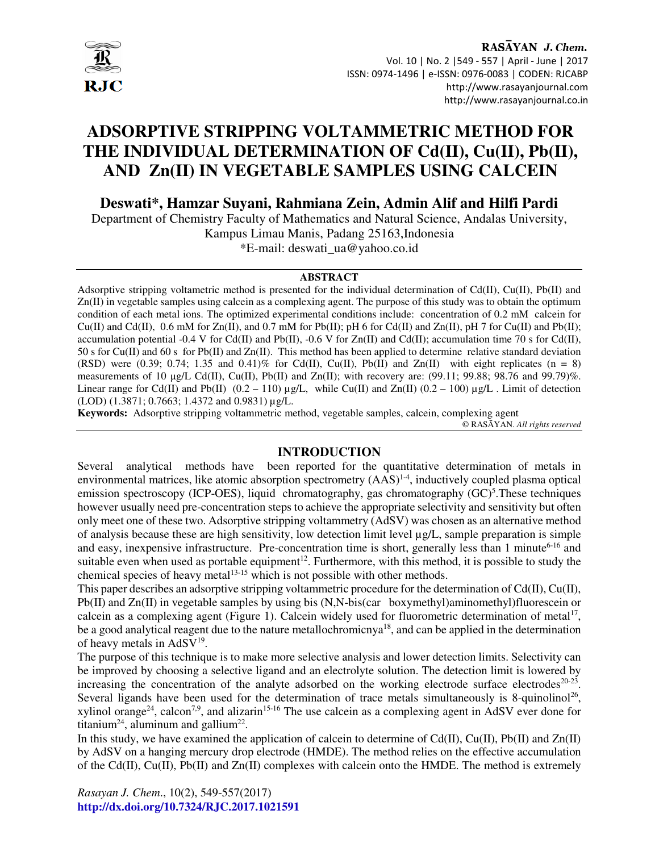

# **ADSORPTIVE STRIPPING VOLTAMMETRIC METHOD FOR THE INDIVIDUAL DETERMINATION OF Cd(II), Cu(II), Pb(II), AND Zn(II) IN VEGETABLE SAMPLES USING CALCEIN**

**Deswati\*, Hamzar Suyani, Rahmiana Zein, Admin Alif and Hilfi Pardi** 

Department of Chemistry Faculty of Mathematics and Natural Science, Andalas University, Kampus Limau Manis, Padang 25163,Indonesia \*E-mail: deswati\_ua@yahoo.co.id

#### **ABSTRACT**

Adsorptive stripping voltametric method is presented for the individual determination of  $Cd(II)$ ,  $Cu(II)$ ,  $Pb(II)$  and Zn(II) in vegetable samples using calcein as a complexing agent. The purpose of this study was to obtain the optimum condition of each metal ions. The optimized experimental conditions include: concentration of 0.2 mM calcein for  $Cu(II)$  and  $Cd(II)$ , 0.6 mM for  $Zn(II)$ , and 0.7 mM for Pb(II); pH 6 for  $Cd(II)$  and  $Zn(II)$ , pH 7 for  $Cu(II)$  and Pb(II); accumulation potential -0.4 V for Cd(II) and Pb(II), -0.6 V for Zn(II) and Cd(II); accumulation time 70 s for Cd(II), 50 s for Cu(II) and 60 s for Pb(II) and Zn(II). This method has been applied to determine relative standard deviation (RSD) were (0.39; 0.74; 1.35 and 0.41)% for Cd(II), Cu(II), Pb(II) and Zn(II) with eight replicates (n = 8) measurements of 10  $\mu$ g/L Cd(II), Cu(II), Pb(II) and Zn(II); with recovery are: (99.11; 99.88; 98.76 and 99.79)%. Linear range for Cd(II) and Pb(II)  $(0.2 - 110) \mu g/L$ , while Cu(II) and Zn(II)  $(0.2 - 100) \mu g/L$ . Limit of detection (LOD) (1.3871; 0.7663; 1.4372 and 0.9831) µg/L.

**Keywords:** Adsorptive stripping voltammetric method, vegetable samples, calcein, complexing agent

© RASĀYAN. *All rights reserved*

# **INTRODUCTION**

Several analytical methods have been reported for the quantitative determination of metals in environmental matrices, like atomic absorption spectrometry  $(AAS)^{1-4}$ , inductively coupled plasma optical emission spectroscopy (ICP-OES), liquid chromatography, gas chromatography (GC)<sup>5</sup>. These techniques however usually need pre-concentration steps to achieve the appropriate selectivity and sensitivity but often only meet one of these two. Adsorptive stripping voltammetry (AdSV) was chosen as an alternative method of analysis because these are high sensitivity, low detection limit level  $\mu$ g/L, sample preparation is simple and easy, inexpensive infrastructure. Pre-concentration time is short, generally less than 1 minute<sup>6-16</sup> and suitable even when used as portable equipment<sup>12</sup>. Furthermore, with this method, it is possible to study the chemical species of heavy metal<sup>13-15</sup> which is not possible with other methods.

This paper describes an adsorptive stripping voltammetric procedure for the determination of  $Cd(II)$ ,  $Cu(II)$ , Pb(II) and  $Zn(II)$  in vegetable samples by using bis  $(N, N-bis(car boxymethyl)$ aminomethyl)fluorescein or calcein as a complexing agent (Figure 1). Calcein widely used for fluorometric determination of metal<sup>17</sup>, be a good analytical reagent due to the nature metallochromicnya<sup>18</sup>, and can be applied in the determination of heavy metals in AdSV<sup>19</sup>.

The purpose of this technique is to make more selective analysis and lower detection limits. Selectivity can be improved by choosing a selective ligand and an electrolyte solution. The detection limit is lowered by increasing the concentration of the analyte adsorbed on the working electrode surface electrodes $20-23$ . Several ligands have been used for the determination of trace metals simultaneously is 8-quinolinol<sup>26</sup>, xylinol orange<sup>24</sup>, calcon<sup>7,9</sup>, and alizarin<sup>15-16</sup> The use calcein as a complexing agent in AdSV ever done for titanium<sup>24</sup>, aluminum and gallium<sup>22</sup>.

In this study, we have examined the application of calcein to determine of  $Cd(II)$ ,  $Cu(II)$ ,  $Pb(II)$  and  $Zn(II)$ by AdSV on a hanging mercury drop electrode (HMDE). The method relies on the effective accumulation of the Cd(II),  $Cu(II)$ ,  $Pb(II)$  and  $Zn(II)$  complexes with calcein onto the HMDE. The method is extremely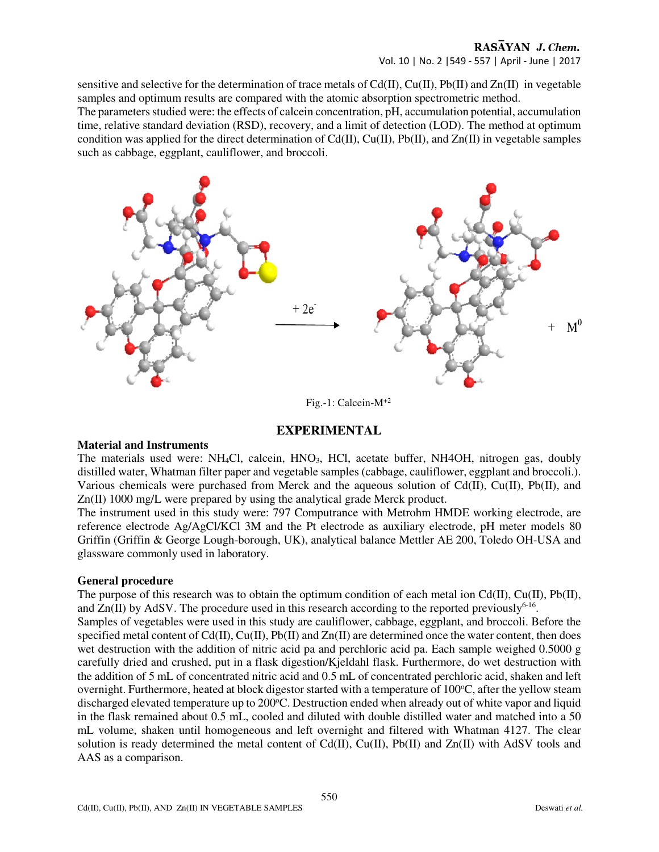# RASAYAN J. Chem.

Vol. 10 | No. 2 |549 - 557 | April - June | 2017

sensitive and selective for the determination of trace metals of  $Cd(II)$ ,  $Cu(II)$ ,  $Pb(II)$  and  $Zn(II)$  in vegetable samples and optimum results are compared with the atomic absorption spectrometric method.

The parameters studied were: the effects of calcein concentration, pH, accumulation potential, accumulation time, relative standard deviation (RSD), recovery, and a limit of detection (LOD). The method at optimum condition was applied for the direct determination of Cd(II), Cu(II), Pb(II), and Zn(II) in vegetable samples such as cabbage, eggplant, cauliflower, and broccoli.



## Fig.-1: Calcein-M+2

# **EXPERIMENTAL**

#### **Material and Instruments**

The materials used were: NH<sub>4</sub>Cl, calcein, HNO<sub>3</sub>, HCl, acetate buffer, NH4OH, nitrogen gas, doubly distilled water, Whatman filter paper and vegetable samples (cabbage, cauliflower, eggplant and broccoli.). Various chemicals were purchased from Merck and the aqueous solution of Cd(II), Cu(II), Pb(II), and Zn(II) 1000 mg/L were prepared by using the analytical grade Merck product.

The instrument used in this study were: 797 Computrance with Metrohm HMDE working electrode, are reference electrode Ag/AgCl/KCl 3M and the Pt electrode as auxiliary electrode, pH meter models 80 Griffin (Griffin & George Lough-borough, UK), analytical balance Mettler AE 200, Toledo OH-USA and glassware commonly used in laboratory.

#### **General procedure**

The purpose of this research was to obtain the optimum condition of each metal ion  $Cd(\Pi)$ ,  $Cu(\Pi)$ ,  $Pb(\Pi)$ , and  $Zn(II)$  by AdSV. The procedure used in this research according to the reported previously<sup>6-16</sup>.

Samples of vegetables were used in this study are cauliflower, cabbage, eggplant, and broccoli. Before the specified metal content of  $Cd(II)$ ,  $Cu(II)$ ,  $Pb(II)$  and  $Zn(II)$  are determined once the water content, then does wet destruction with the addition of nitric acid pa and perchloric acid pa. Each sample weighed 0.5000 g carefully dried and crushed, put in a flask digestion/Kjeldahl flask. Furthermore, do wet destruction with the addition of 5 mL of concentrated nitric acid and 0.5 mL of concentrated perchloric acid, shaken and left overnight. Furthermore, heated at block digestor started with a temperature of 100<sup>o</sup>C, after the yellow steam discharged elevated temperature up to 200°C. Destruction ended when already out of white vapor and liquid in the flask remained about 0.5 mL, cooled and diluted with double distilled water and matched into a 50 mL volume, shaken until homogeneous and left overnight and filtered with Whatman 4127. The clear solution is ready determined the metal content of  $Cd(II)$ ,  $Cu(II)$ ,  $Pb(II)$  and  $Zn(II)$  with AdSV tools and AAS as a comparison.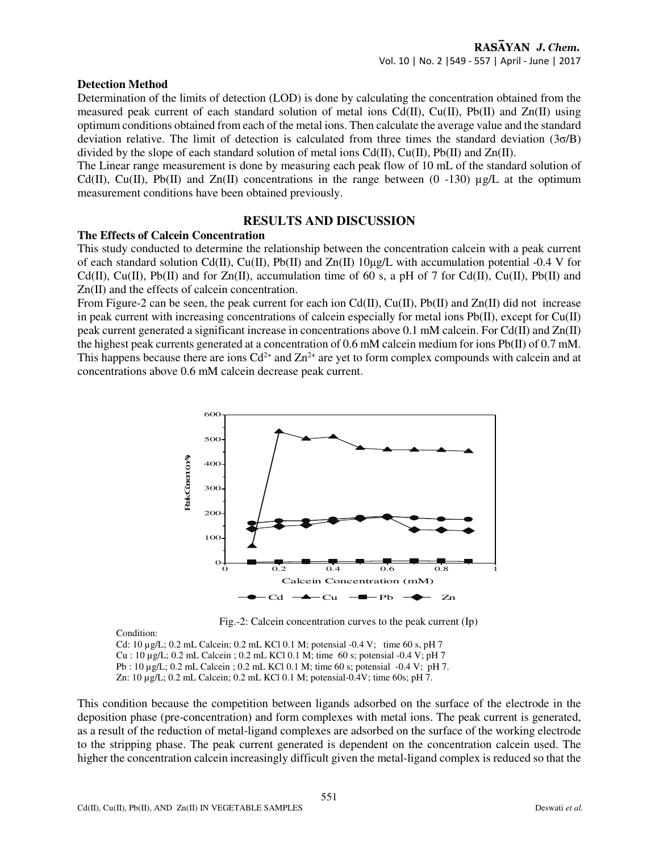#### **Detection Method**

Determination of the limits of detection (LOD) is done by calculating the concentration obtained from the measured peak current of each standard solution of metal ions Cd(II), Cu(II), Pb(II) and Zn(II) using optimum conditions obtained from each of the metal ions. Then calculate the average value and the standard deviation relative. The limit of detection is calculated from three times the standard deviation (3σ/B) divided by the slope of each standard solution of metal ions  $Cd(II)$ ,  $Cu(II)$ ,  $Pb(II)$  and  $Zn(II)$ .

The Linear range measurement is done by measuring each peak flow of 10 mL of the standard solution of Cd(II), Cu(II), Pb(II) and Zn(II) concentrations in the range between  $(0 -130)$  ug/L at the optimum measurement conditions have been obtained previously.

# **RESULTS AND DISCUSSION**

## **The Effects of Calcein Concentration**

This study conducted to determine the relationship between the concentration calcein with a peak current of each standard solution Cd(II), Cu(II), Pb(II) and Zn(II)  $10\mu g/L$  with accumulation potential -0.4 V for Cd(II), Cu(II), Pb(II) and for Zn(II), accumulation time of 60 s, a pH of 7 for Cd(II), Cu(II), Pb(II) and Zn(II) and the effects of calcein concentration.

From Figure-2 can be seen, the peak current for each ion Cd(II), Cu(II), Pb(II) and Zn(II) did not increase in peak current with increasing concentrations of calcein especially for metal ions Pb(II), except for Cu(II) peak current generated a significant increase in concentrations above 0.1 mM calcein. For Cd(II) and Zn(II) the highest peak currents generated at a concentration of 0.6 mM calcein medium for ions Pb(II) of 0.7 mM. This happens because there are ions  $Cd^{2+}$  and  $Zn^{2+}$  are yet to form complex compounds with calcein and at concentrations above 0.6 mM calcein decrease peak current.



Fig.-2: Calcein concentration curves to the peak current (Ip)

Condition:

Cd: 10 µg/L; 0.2 mL Calcein; 0.2 mL KCl 0.1 M; potensial -0.4 V; time 60 s, pH 7 Cu : 10 µg/L; 0.2 mL Calcein ; 0.2 mL KCl 0.1 M; time 60 s; potensial -0.4 V; pH 7 Pb : 10 µg/L; 0.2 mL Calcein ; 0.2 mL KCl 0.1 M; time 60 s; potensial -0.4 V; pH 7. Zn: 10 µg/L; 0.2 mL Calcein; 0.2 mL KCl 0.1 M; potensial-0.4V; time 60s; pH 7.

This condition because the competition between ligands adsorbed on the surface of the electrode in the deposition phase (pre-concentration) and form complexes with metal ions. The peak current is generated, as a result of the reduction of metal-ligand complexes are adsorbed on the surface of the working electrode to the stripping phase. The peak current generated is dependent on the concentration calcein used. The higher the concentration calcein increasingly difficult given the metal-ligand complex is reduced so that the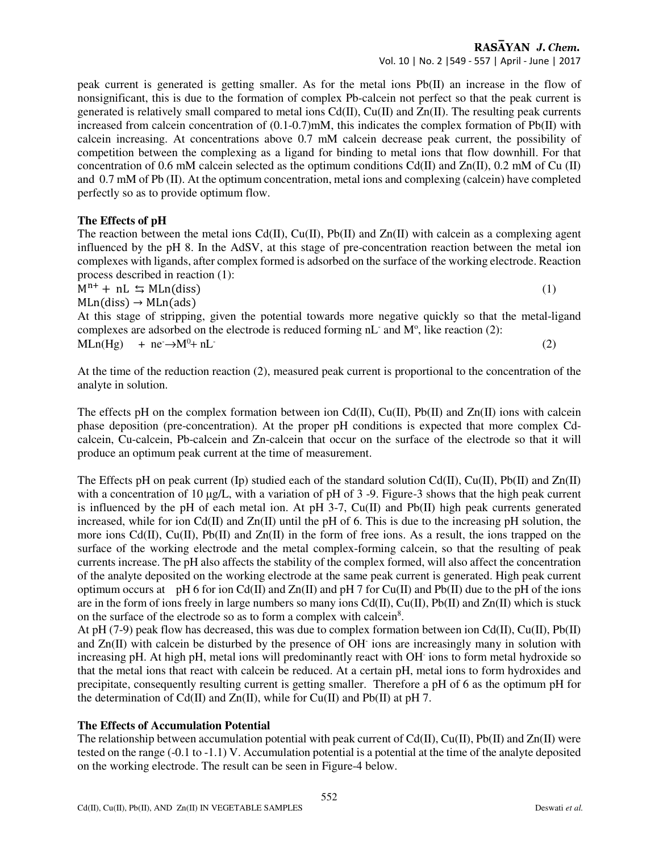peak current is generated is getting smaller. As for the metal ions Pb(II) an increase in the flow of nonsignificant, this is due to the formation of complex Pb-calcein not perfect so that the peak current is generated is relatively small compared to metal ions  $Cd(II)$ ,  $Cu(II)$  and  $Zn(II)$ . The resulting peak currents increased from calcein concentration of (0.1-0.7)mM, this indicates the complex formation of Pb(II) with calcein increasing. At concentrations above 0.7 mM calcein decrease peak current, the possibility of competition between the complexing as a ligand for binding to metal ions that flow downhill. For that concentration of 0.6 mM calcein selected as the optimum conditions Cd(II) and Zn(II), 0.2 mM of Cu (II) and 0.7 mM of Pb (II). At the optimum concentration, metal ions and complexing (calcein) have completed perfectly so as to provide optimum flow.

# **The Effects of pH**

The reaction between the metal ions  $Cd(II)$ ,  $Cu(II)$ ,  $Pb(II)$  and  $Zn(II)$  with calcein as a complexing agent influenced by the pH 8. In the AdSV, at this stage of pre-concentration reaction between the metal ion complexes with ligands, after complex formed is adsorbed on the surface of the working electrode. Reaction process described in reaction (1):

 $M^{n+} + nL \leq MLn(diss)$  (1)

 $MLn(diss) \rightarrow MLn(ads)$ At this stage of stripping, given the potential towards more negative quickly so that the metal-ligand complexes are adsorbed on the electrode is reduced forming  $nL^-$  and  $M^o$ , like reaction (2):

 $MLn(Hg)$  + ne  $\rightarrow M^0+nL^-$ 

(2)

At the time of the reduction reaction (2), measured peak current is proportional to the concentration of the analyte in solution.

The effects pH on the complex formation between ion  $Cd(II)$ ,  $Cu(II)$ ,  $Pb(II)$  and  $Zn(II)$  ions with calcein phase deposition (pre-concentration). At the proper pH conditions is expected that more complex Cdcalcein, Cu-calcein, Pb-calcein and Zn-calcein that occur on the surface of the electrode so that it will produce an optimum peak current at the time of measurement.

The Effects pH on peak current (Ip) studied each of the standard solution Cd(II), Cu(II), Pb(II) and Zn(II) with a concentration of 10  $\mu$ g/L, with a variation of pH of 3-9. Figure-3 shows that the high peak current is influenced by the pH of each metal ion. At pH  $3-7$ , Cu(II) and Pb(II) high peak currents generated increased, while for ion Cd(II) and Zn(II) until the pH of 6. This is due to the increasing pH solution, the more ions  $Cd(II)$ ,  $Cu(II)$ ,  $Pb(II)$  and  $Zn(II)$  in the form of free ions. As a result, the ions trapped on the surface of the working electrode and the metal complex-forming calcein, so that the resulting of peak currents increase. The pH also affects the stability of the complex formed, will also affect the concentration of the analyte deposited on the working electrode at the same peak current is generated. High peak current optimum occurs at pH 6 for ion Cd(II) and Zn(II) and pH 7 for Cu(II) and Pb(II) due to the pH of the ions are in the form of ions freely in large numbers so many ions  $Cd(II)$ ,  $Cu(II)$ ,  $Pb(II)$  and  $Zn(II)$  which is stuck on the surface of the electrode so as to form a complex with calcein<sup>8</sup>.

At pH (7-9) peak flow has decreased, this was due to complex formation between ion  $Cd(II)$ ,  $Cu(II)$ ,  $Pb(II)$ and Zn(II) with calcein be disturbed by the presence of OH ions are increasingly many in solution with increasing pH. At high pH, metal ions will predominantly react with OH<sup>-</sup> ions to form metal hydroxide so that the metal ions that react with calcein be reduced. At a certain pH, metal ions to form hydroxides and precipitate, consequently resulting current is getting smaller. Therefore a pH of 6 as the optimum pH for the determination of Cd(II) and Zn(II), while for Cu(II) and Pb(II) at pH 7.

# **The Effects of Accumulation Potential**

The relationship between accumulation potential with peak current of Cd(II), Cu(II), Pb(II) and Zn(II) were tested on the range (-0.1 to -1.1) V. Accumulation potential is a potential at the time of the analyte deposited on the working electrode. The result can be seen in Figure-4 below.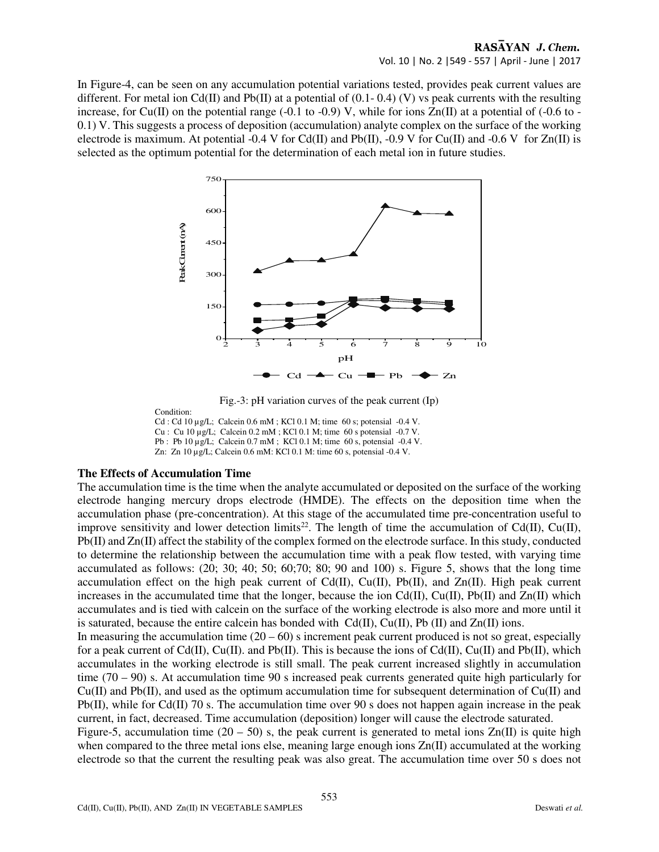# RASAYAN J. Chem. Vol. 10 | No. 2 |549 - 557 | April - June | 2017

In Figure-4, can be seen on any accumulation potential variations tested, provides peak current values are different. For metal ion Cd(II) and Pb(II) at a potential of  $(0.1 - 0.4)$  (V) vs peak currents with the resulting increase, for Cu(II) on the potential range (-0.1 to -0.9) V, while for ions  $Zn(II)$  at a potential of (-0.6 to -0.1) V. This suggests a process of deposition (accumulation) analyte complex on the surface of the working electrode is maximum. At potential -0.4 V for Cd(II) and Pb(II), -0.9 V for Cu(II) and -0.6 V for Zn(II) is selected as the optimum potential for the determination of each metal ion in future studies.



Fig.-3: pH variation curves of the peak current (Ip)

Condition: Cd : Cd 10 µg/L; Calcein 0.6 mM ; KCl 0.1 M; time 60 s; potensial -0.4 V. Cu : Cu 10 µg/L; Calcein 0.2 mM ; KCl 0.1 M; time 60 s potensial -0.7 V. Pb : Pb 10 µg/L; Calcein 0.7 mM ; KCl 0.1 M; time 60 s, potensial -0.4 V. Zn: Zn 10 µg/L; Calcein 0.6 mM: KCl 0.1 M: time 60 s, potensial -0.4 V.

# **The Effects of Accumulation Time**

The accumulation time is the time when the analyte accumulated or deposited on the surface of the working electrode hanging mercury drops electrode (HMDE). The effects on the deposition time when the accumulation phase (pre-concentration). At this stage of the accumulated time pre-concentration useful to improve sensitivity and lower detection limits<sup>22</sup>. The length of time the accumulation of Cd(II), Cu(II), Pb(II) and Zn(II) affect the stability of the complex formed on the electrode surface. In this study, conducted to determine the relationship between the accumulation time with a peak flow tested, with varying time accumulated as follows: (20; 30; 40; 50; 60;70; 80; 90 and 100) s. Figure 5, shows that the long time accumulation effect on the high peak current of  $Cd(II)$ ,  $Cu(II)$ ,  $Pb(II)$ , and  $Zn(II)$ . High peak current increases in the accumulated time that the longer, because the ion  $Cd(II)$ ,  $Cu(II)$ ,  $Pb(II)$  and  $Zn(II)$  which accumulates and is tied with calcein on the surface of the working electrode is also more and more until it is saturated, because the entire calcein has bonded with  $Cd(II)$ ,  $Cu(II)$ ,  $Pb(II)$  and  $Zn(II)$  ions.

In measuring the accumulation time  $(20 - 60)$  s increment peak current produced is not so great, especially for a peak current of  $Cd(II)$ ,  $Cu(II)$ . and  $Pb(II)$ . This is because the ions of  $Cd(II)$ ,  $Cu(II)$  and  $Pb(II)$ , which accumulates in the working electrode is still small. The peak current increased slightly in accumulation time  $(70 - 90)$  s. At accumulation time 90 s increased peak currents generated quite high particularly for Cu(II) and Pb(II), and used as the optimum accumulation time for subsequent determination of Cu(II) and Pb(II), while for Cd(II) 70 s. The accumulation time over 90 s does not happen again increase in the peak current, in fact, decreased. Time accumulation (deposition) longer will cause the electrode saturated.

Figure-5, accumulation time  $(20 - 50)$  s, the peak current is generated to metal ions  $Zn(II)$  is quite high when compared to the three metal ions else, meaning large enough ions  $Zn(II)$  accumulated at the working electrode so that the current the resulting peak was also great. The accumulation time over 50 s does not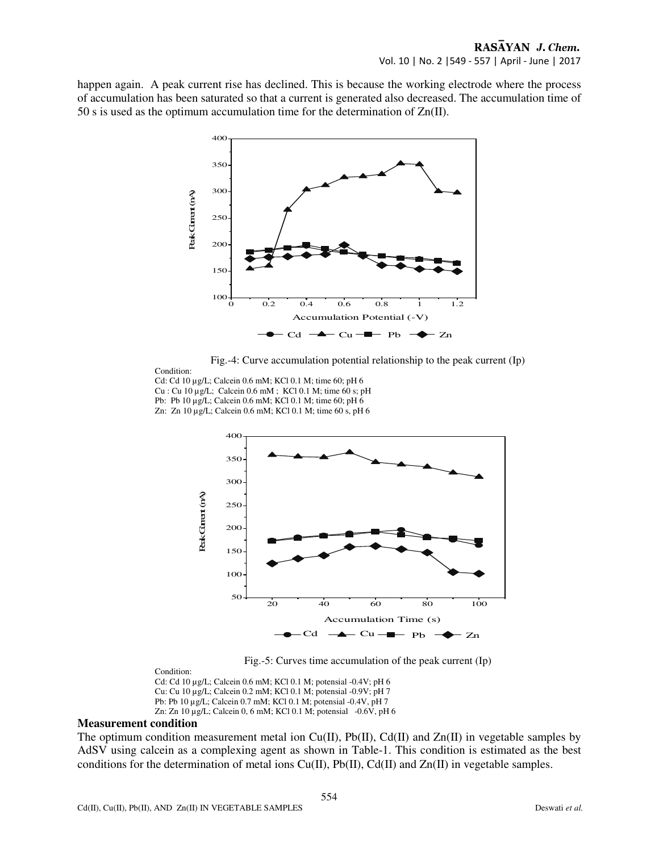happen again. A peak current rise has declined. This is because the working electrode where the process of accumulation has been saturated so that a current is generated also decreased. The accumulation time of 50 s is used as the optimum accumulation time for the determination of Zn(II).



Fig.-4: Curve accumulation potential relationship to the peak current (Ip)

Condition: Cd: Cd 10 µg/L; Calcein 0.6 mM; KCl 0.1 M; time 60; pH 6 Cu : Cu 10 µg/L; Calcein 0.6 mM ; KCl 0.1 M; time 60 s; pH Pb: Pb 10 µg/L; Calcein 0.6 mM; KCl 0.1 M; time 60; pH 6 Zn: Zn 10 µg/L; Calcein 0.6 mM; KCl 0.1 M; time 60 s, pH 6



Fig.-5: Curves time accumulation of the peak current (Ip)

Condition: Cd: Cd 10 µg/L; Calcein 0.6 mM; KCl 0.1 M; potensial -0.4V; pH 6 Cu: Cu 10 µg/L; Calcein 0.2 mM; KCl 0.1 M; potensial -0.9V; pH 7 Pb: Pb 10 µg/L; Calcein 0.7 mM; KCl 0.1 M; potensial -0.4V, pH 7 Zn: Zn 10 µg/L; Calcein 0, 6 mM; KCl 0.1 M; potensial -0.6V, pH 6

## **Measurement condition**

The optimum condition measurement metal ion  $Cu(II)$ ,  $Pb(II)$ ,  $Cd(II)$  and  $Zn(II)$  in vegetable samples by AdSV using calcein as a complexing agent as shown in Table-1. This condition is estimated as the best conditions for the determination of metal ions  $Cu(II)$ ,  $Pb(II)$ ,  $Cd(II)$  and  $Zn(II)$  in vegetable samples.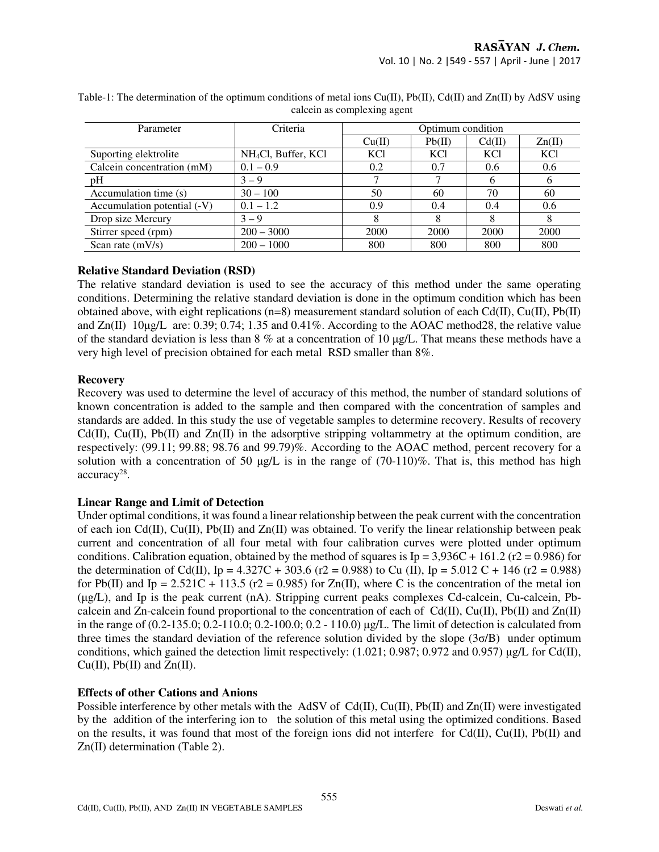| Parameter                   | Criteria                        | Optimum condition |            |            |            |
|-----------------------------|---------------------------------|-------------------|------------|------------|------------|
|                             |                                 | Cu(II)            | Pb(II)     | Cd(II)     | Zn(II)     |
| Suporting elektrolite       | NH <sub>4</sub> Cl, Buffer, KCl | KC <sub>1</sub>   | <b>KCl</b> | <b>KCl</b> | <b>KCl</b> |
| Calcein concentration (mM)  | $0.1 - 0.9$                     | 0.2               | 0.7        | 0.6        | 0.6        |
| pH                          | $3 - 9$                         |                   |            |            | O          |
| Accumulation time (s)       | $30 - 100$                      | 50                | 60         | 70         | 60         |
| Accumulation potential (-V) | $0.1 - 1.2$                     | 0.9               | 0.4        | 0.4        | 0.6        |
| Drop size Mercury           | $3 - 9$                         |                   |            |            | 8          |
| Stirrer speed (rpm)         | $200 - 3000$                    | 2000              | 2000       | 2000       | 2000       |
| Scan rate $(mV/s)$          | $200 - 1000$                    | 800               | 800        | 800        | 800        |

Table-1: The determination of the optimum conditions of metal ions Cu(II), Pb(II), Cd(II) and Zn(II) by AdSV using calcein as complexing agent

## **Relative Standard Deviation (RSD)**

The relative standard deviation is used to see the accuracy of this method under the same operating conditions. Determining the relative standard deviation is done in the optimum condition which has been obtained above, with eight replications (n=8) measurement standard solution of each Cd(II), Cu(II), Pb(II) and  $Zn(II)$  10 $\mu$ g/L are: 0.39; 0.74; 1.35 and 0.41%. According to the AOAC method28, the relative value of the standard deviation is less than  $8\%$  at a concentration of 10  $\mu\text{g/L}$ . That means these methods have a very high level of precision obtained for each metal RSD smaller than 8%.

# **Recovery**

Recovery was used to determine the level of accuracy of this method, the number of standard solutions of known concentration is added to the sample and then compared with the concentration of samples and standards are added. In this study the use of vegetable samples to determine recovery. Results of recovery Cd(II), Cu(II), Pb(II) and  $Zn(II)$  in the adsorptive stripping voltammetry at the optimum condition, are respectively: (99.11; 99.88; 98.76 and 99.79)%. According to the AOAC method, percent recovery for a solution with a concentration of 50  $\mu$ g/L is in the range of (70-110)%. That is, this method has high accuracy<sup>28</sup>.

# **Linear Range and Limit of Detection**

Under optimal conditions, it was found a linear relationship between the peak current with the concentration of each ion  $Cd(II)$ ,  $Cu(II)$ ,  $Pb(II)$  and  $Zn(II)$  was obtained. To verify the linear relationship between peak current and concentration of all four metal with four calibration curves were plotted under optimum conditions. Calibration equation, obtained by the method of squares is Ip =  $3,936C + 161.2$  (r2 = 0.986) for the determination of Cd(II), Ip = 4.327C + 303.6 (r2 = 0.988) to Cu (II), Ip = 5.012 C + 146 (r2 = 0.988) for Pb(II) and Ip = 2.521C + 113.5 ( $r2 = 0.985$ ) for Zn(II), where C is the concentration of the metal ion (µg/L), and Ip is the peak current (nA). Stripping current peaks complexes Cd-calcein, Cu-calcein, Pbcalcein and Zn-calcein found proportional to the concentration of each of Cd(II), Cu(II), Pb(II) and Zn(II) in the range of (0.2-135.0; 0.2-110.0; 0.2-100.0; 0.2 - 110.0) µg/L. The limit of detection is calculated from three times the standard deviation of the reference solution divided by the slope (3σ/B) under optimum conditions, which gained the detection limit respectively: (1.021; 0.987; 0.972 and 0.957)  $\mu$ g/L for Cd(II), Cu(II), Pb(II) and Zn(II).

# **Effects of other Cations and Anions**

Possible interference by other metals with the AdSV of Cd(II), Cu(II), Pb(II) and Zn(II) were investigated by the addition of the interfering ion to the solution of this metal using the optimized conditions. Based on the results, it was found that most of the foreign ions did not interfere for  $Cd(II)$ ,  $Cu(II)$ ,  $Pb(II)$  and Zn(II) determination (Table 2).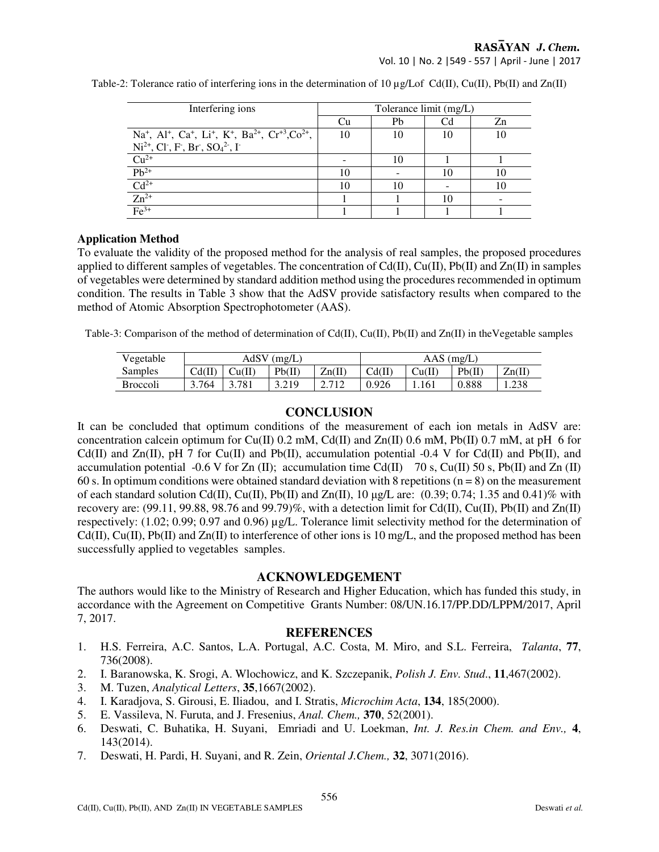RASAYAN J. Chem.

Vol. 10 | No. 2 |549 - 557 | April - June | 2017

| Interfering ions                                                                                                                                 | Tolerance limit (mg/L) |    |    |    |  |  |
|--------------------------------------------------------------------------------------------------------------------------------------------------|------------------------|----|----|----|--|--|
|                                                                                                                                                  | Cu                     | Ph | Cd | Zn |  |  |
| Na <sup>+</sup> , Al <sup>+</sup> , Ca <sup>+</sup> , Li <sup>+</sup> , K <sup>+</sup> , Ba <sup>2+</sup> , Cr <sup>+3</sup> ,Co <sup>2+</sup> , | 10                     | 10 |    |    |  |  |
| $Ni^{2+}$ , Cl <sup>-</sup> , F <sup>-</sup> , Br <sup>-</sup> , SO <sub>4</sub> <sup>2-</sup> , I <sup>-</sup>                                  |                        |    |    |    |  |  |
| $Cu2+$                                                                                                                                           |                        | 10 |    |    |  |  |
| $Pb^{2+}$                                                                                                                                        | 10                     |    |    |    |  |  |
| $Cd2+$                                                                                                                                           | 10                     |    |    | 10 |  |  |
| $Zn^{2+}$                                                                                                                                        |                        |    |    |    |  |  |
| $Fe3+$                                                                                                                                           |                        |    |    |    |  |  |

Table-2: Tolerance ratio of interfering ions in the determination of 10  $\mu$ g/Lof Cd(II), Cu(II), Pb(II) and Zn(II)

## **Application Method**

To evaluate the validity of the proposed method for the analysis of real samples, the proposed procedures applied to different samples of vegetables. The concentration of  $Cd(II)$ ,  $Cu(II)$ ,  $Pb(II)$  and  $Zn(II)$  in samples of vegetables were determined by standard addition method using the procedures recommended in optimum condition. The results in Table 3 show that the AdSV provide satisfactory results when compared to the method of Atomic Absorption Spectrophotometer (AAS).

Table-3: Comparison of the method of determination of  $Cd(II)$ ,  $Cu(II)$ ,  $Pb(II)$  and  $Zn(II)$  in the Vegetable samples

| Vegetable       | AdSV<br>$^{\prime}$ (mg/L) |        |          | $AAS$ (mg/L) |        |        |        |        |
|-----------------|----------------------------|--------|----------|--------------|--------|--------|--------|--------|
| Samples         | Cd(II)                     | Cu(II) | $Pb($ II | Zn(II)       | Cd(II) | Cu(II) | Pb(II) | Zn(II) |
| <b>Broccoli</b> | 3.764                      | 3.781  | 3.219    | 2.712        | 0.926  | 1.161  | 0.888  | . 238  |

# **CONCLUSION**

It can be concluded that optimum conditions of the measurement of each ion metals in AdSV are: concentration calcein optimum for Cu(II) 0.2 mM, Cd(II) and Zn(II) 0.6 mM, Pb(II) 0.7 mM, at pH 6 for Cd(II) and Zn(II), pH 7 for Cu(II) and Pb(II), accumulation potential  $-0.4$  V for Cd(II) and Pb(II), and accumulation potential -0.6 V for Zn (II); accumulation time Cd(II)  $70$  s, Cu(II) 50 s, Pb(II) and Zn (II) 60 s. In optimum conditions were obtained standard deviation with 8 repetitions ( $n = 8$ ) on the measurement of each standard solution Cd(II), Cu(II), Pb(II) and Zn(II),  $10 \mu g/L$  are: (0.39; 0.74; 1.35 and 0.41)% with recovery are:  $(99.11, 99.88, 98.76, and 99.79)\%$ , with a detection limit for Cd(II), Cu(II), Pb(II) and Zn(II) respectively: (1.02; 0.99; 0.97 and 0.96) µg/L. Tolerance limit selectivity method for the determination of  $Cd(II), Cu(II), Pb(II)$  and  $Zn(II)$  to interference of other ions is 10 mg/L, and the proposed method has been successfully applied to vegetables samples.

# **ACKNOWLEDGEMENT**

The authors would like to the Ministry of Research and Higher Education, which has funded this study, in accordance with the Agreement on Competitive Grants Number: 08/UN.16.17/PP.DD/LPPM/2017, April 7, 2017.

# **REFERENCES**

- 1. H.S. Ferreira, A.C. Santos, L.A. Portugal, A.C. Costa, M. Miro, and S.L. Ferreira, *Talanta*, **77**, 736(2008).
- 2. I. Baranowska, K. Srogi, A. Wlochowicz, and K. Szczepanik, *Polish J. Env. Stud*., **11**,467(2002).
- 3. M. Tuzen, *Analytical Letters*, **35**,1667(2002).
- 4. I. Karadjova, S. Girousi, E. Iliadou, and I. Stratis, *Microchim Acta*, **134**, 185(2000).
- 5. E. Vassileva, N. Furuta, and J. Fresenius, *Anal. Chem.,* **370**, 52(2001).
- 6. Deswati, C. Buhatika, H. Suyani, Emriadi and U. Loekman, *Int. J. Res.in Chem. and Env.,* **4**, 143(2014).
- 7. Deswati, H. Pardi, H. Suyani, and R. Zein, *Oriental J.Chem.,* **32**, 3071(2016).